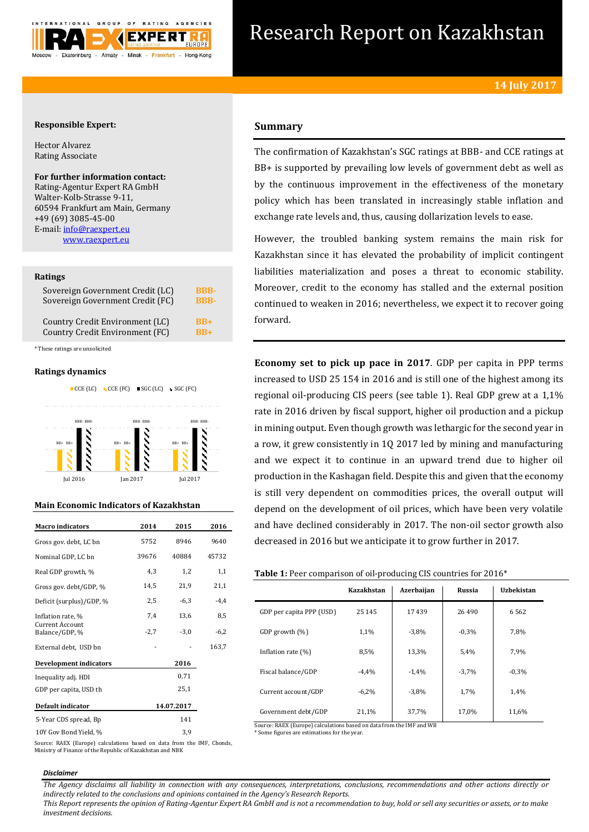

# Research Report on Kazakhstan

# **Responsible Expert:**

Hector Alvarez Rating Associate

# **For further information contact:** Rating-Agentur Expert RA GmbH Walter-Kolb-Strasse 9-11,

60594 Frankfurt am Main, Germany +49 (69) 3085-45-00 E-mail[: info@raexpert.eu](mailto:info@raexpert.eu) [www.raexpert.eu](http://raexpert.eu/)

## **Ratings**

| Sovereign Government Credit (LC) | <b>BBB-</b> |
|----------------------------------|-------------|
| Sovereign Government Credit (FC) | <b>RRR-</b> |
| Country Credit Environment (LC)  | $RB+$       |
| Country Credit Environment (FC)  | $RR+$       |

\* These ratings are unsolicited

# **Ratings dynamics**



# **Main Economic Indicators of Kazakhstan**

| <b>Macro</b> indicators           | 2014   | 2015       | 2016   |
|-----------------------------------|--------|------------|--------|
| Gross gov. debt, LC bn            | 5752   | 8946       | 9640   |
| Nominal GDP, LC bn                | 39676  | 40884      | 45732  |
| Real GDP growth, %                | 4,3    | 1,2        | 1,1    |
| Gross gov. debt/GDP, %            | 14,5   | 21,9       | 21,1   |
| Deficit (surplus)/GDP, %          | 2,5    | $-6,3$     | $-4,4$ |
| Inflation rate, %                 | 7,4    | 13,6       | 8,5    |
| Current Account<br>Balance/GDP, % | $-2,7$ | $-3,0$     | $-6,2$ |
| External debt, USD bn             |        |            | 163,7  |
| <b>Development indicators</b>     |        | 2016       |        |
| Inequality adj. HDI               |        | 0,71       |        |
| GDP per capita, USD th            |        | 25,1       |        |
| Default indicator                 |        | 14.07.2017 |        |
| 5-Year CDS spread, Bp             |        | 141        |        |
| 10Y Gov Bond Yield, %             |        | 3,9        |        |

**Summary**

The confirmation of Kazakhstan's SGC ratings at BBB- and CCE ratings at BB+ is supported by prevailing low levels of government debt as well as by the continuous improvement in the effectiveness of the monetary policy which has been translated in increasingly stable inflation and exchange rate levels and, thus, causing dollarization levels to ease.

However, the troubled banking system remains the main risk for Kazakhstan since it has elevated the probability of implicit contingent liabilities materialization and poses a threat to economic stability. Moreover, credit to the economy has stalled and the external position continued to weaken in 2016; nevertheless, we expect it to recover going forward.

**Economy set to pick up pace in 2017**. GDP per capita in PPP terms increased to USD 25 154 in 2016 and is still one of the highest among its regional oil-producing CIS peers (see table 1). Real GDP grew at a 1,1% rate in 2016 driven by fiscal support, higher oil production and a pickup in mining output. Even though growth was lethargic for the second year in a row, it grew consistently in 1Q 2017 led by mining and manufacturing and we expect it to continue in an upward trend due to higher oil production in the Kashagan field. Despite this and given that the economy is still very dependent on commodities prices, the overall output will depend on the development of oil prices, which have been very volatile and have declined considerably in 2017. The non-oil sector growth also decreased in 2016 but we anticipate it to grow further in 2017.

# **Table 1:** Peer comparison of oil-producing CIS countries for 2016\*

|                          |            | ັ          |         |                   |  |
|--------------------------|------------|------------|---------|-------------------|--|
|                          | Kazakhstan | Azerbaijan | Russia  | <b>Uzbekistan</b> |  |
| GDP per capita PPP (USD) | 25 145     | 17439      | 26 490  | 6562              |  |
| GDP growth (%)           | 1,1%       | $-3,8%$    | $-0.3%$ | 7,8%              |  |
| Inflation rate $(\%)$    | 8,5%       | 13,3%      | 5,4%    | 7,9%              |  |
| Fiscal balance/GDP       | $-4.4%$    | $-1.4%$    | $-3,7%$ | $-0.3%$           |  |
| Current account/GDP      | $-6,2%$    | $-3,8%$    | 1,7%    | 1,4%              |  |
| Government debt/GDP      | 21,1%      | 37,7%      | 17,0%   | 11,6%             |  |

Source: RAEX (Europe) calculations based on data from the IMF and WB

\* Some figures are estimations for the year.

Source: RAEX (Europe) calculations based on data from the IMF, Cbonds, Ministry of Finance of the Republic of Kazakhstan and NBK

#### *Disclaimer*

*The Agency disclaims all liability in connection with any consequences, interpretations, conclusions, recommendations and other actions directly or indirectly related to the conclusions and opinions contained in the Agency's Research Reports.*

*This Report represents the opinion of Rating-Agentur Expert RA GmbH and is not a recommendation to buy, hold or sell any securities or assets, or to make investment decisions.*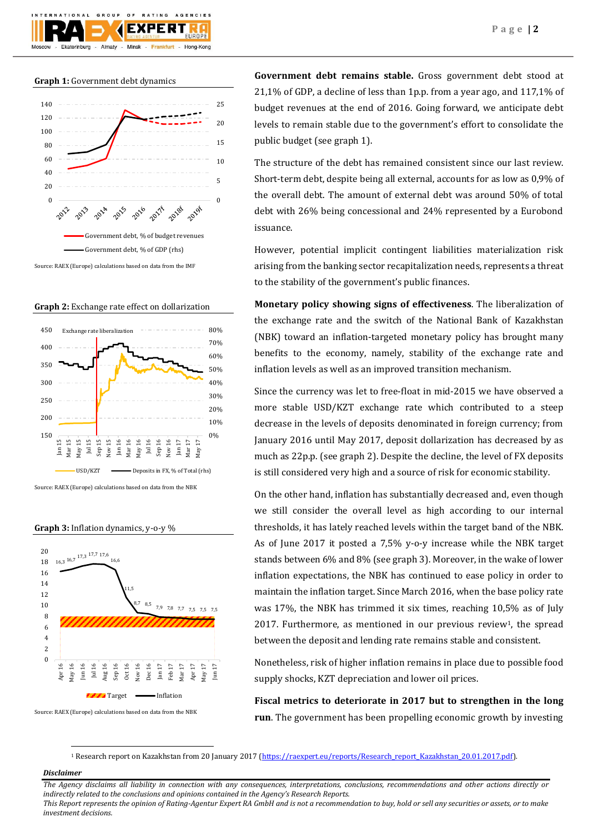

## **Graph 1:** Government debt dynamics



Source: RAEX (Europe) calculations based on data from the IMF

**Graph 2:** Exchange rate effect on dollarization



Source: RAEX (Europe) calculations based on data from the NBK

**Graph 3:** Inflation dynamics, y-o-y %



Source: RAEX (Europe) calculations based on data from the NBK

**Government debt remains stable.** Gross government debt stood at 21,1% of GDP, a decline of less than 1p.p. from a year ago, and 117,1% of budget revenues at the end of 2016. Going forward, we anticipate debt levels to remain stable due to the government's effort to consolidate the public budget (see graph 1).

The structure of the debt has remained consistent since our last review. Short-term debt, despite being all external, accounts for as low as 0,9% of the overall debt. The amount of external debt was around 50% of total debt with 26% being concessional and 24% represented by a Eurobond issuance.

However, potential implicit contingent liabilities materialization risk arising from the banking sector recapitalization needs, represents a threat to the stability of the government's public finances.

**Monetary policy showing signs of effectiveness**. The liberalization of the exchange rate and the switch of the National Bank of Kazakhstan (NBK) toward an inflation-targeted monetary policy has brought many benefits to the economy, namely, stability of the exchange rate and inflation levels as well as an improved transition mechanism.

Since the currency was let to free-float in mid-2015 we have observed a more stable USD/KZT exchange rate which contributed to a steep decrease in the levels of deposits denominated in foreign currency; from January 2016 until May 2017, deposit dollarization has decreased by as much as 22p.p. (see graph 2). Despite the decline, the level of FX deposits is still considered very high and a source of risk for economic stability.

On the other hand, inflation has substantially decreased and, even though we still consider the overall level as high according to our internal thresholds, it has lately reached levels within the target band of the NBK. As of June 2017 it posted a 7,5% y-o-y increase while the NBK target stands between 6% and 8% (see graph 3). Moreover, in the wake of lower inflation expectations, the NBK has continued to ease policy in order to maintain the inflation target. Since March 2016, when the base policy rate was 17%, the NBK has trimmed it six times, reaching 10,5% as of July  $2017$ . Furthermore, as mentioned in our previous review<sup>1</sup>, the spread between the deposit and lending rate remains stable and consistent.

Nonetheless, risk of higher inflation remains in place due to possible food supply shocks, KZT depreciation and lower oil prices.

**Fiscal metrics to deteriorate in 2017 but to strengthen in the long run**. The government has been propelling economic growth by investing

1 Research report on Kazakhstan from 20 January 2017 [\(https://raexpert.eu/reports/Research\\_report\\_Kazakhstan\\_20.01.2017.pdf\)](https://raexpert.eu/reports/Research_report_Kazakhstan_20.01.2017.pdf).

# *Disclaimer*

1

*The Agency disclaims all liability in connection with any consequences, interpretations, conclusions, recommendations and other actions directly or indirectly related to the conclusions and opinions contained in the Agency's Research Reports. This Report represents the opinion of Rating-Agentur Expert RA GmbH and is not a recommendation to buy, hold or sell any securities or assets, or to make* 

*investment decisions.*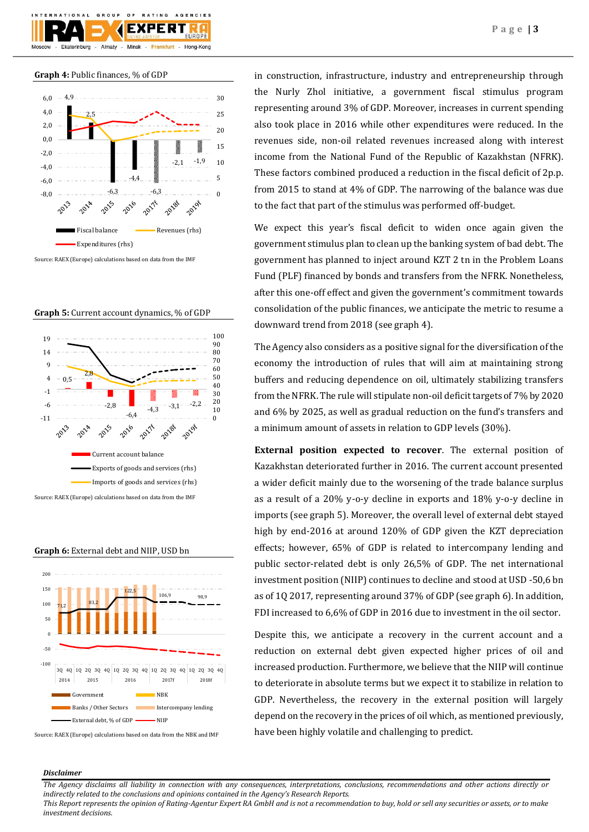

# **Graph 4:** Public finances, % of GDP



Source: RAEX (Europe) calculations based on data from the IMF



 $-6.4$ 

Current account balance

Exports of goods and services (rhs) Imports of goods and services (rhs)

2017年

 $\frac{1}{-4.3}$  - -3,1  $-2,2$ 

20188

20198

0 10 20



Source: RAEX (Europe) calculations based on data from the IMF

-2,8

2015

-11 -6

2013

**Graph 6:** External debt and NIIP, USD bn



Source: RAEX (Europe) calculations based on data from the NBK and IMF

in construction, infrastructure, industry and entrepreneurship through the Nurly Zhol initiative, a government fiscal stimulus program representing around 3% of GDP. Moreover, increases in current spending also took place in 2016 while other expenditures were reduced. In the revenues side, non-oil related revenues increased along with interest income from the National Fund of the Republic of Kazakhstan (NFRK). These factors combined produced a reduction in the fiscal deficit of 2p.p. from 2015 to stand at 4% of GDP. The narrowing of the balance was due to the fact that part of the stimulus was performed off-budget.

We expect this year's fiscal deficit to widen once again given the government stimulus plan to clean up the banking system of bad debt. The government has planned to inject around KZT 2 tn in the Problem Loans Fund (PLF) financed by bonds and transfers from the NFRK. Nonetheless, after this one-off effect and given the government's commitment towards consolidation of the public finances, we anticipate the metric to resume a downward trend from 2018 (see graph 4).

The Agency also considers as a positive signal for the diversification of the economy the introduction of rules that will aim at maintaining strong buffers and reducing dependence on oil, ultimately stabilizing transfers from the NFRK. The rule will stipulate non-oil deficit targets of 7% by 2020 and 6% by 2025, as well as gradual reduction on the fund's transfers and a minimum amount of assets in relation to GDP levels (30%).

**External position expected to recover**. The external position of Kazakhstan deteriorated further in 2016. The current account presented a wider deficit mainly due to the worsening of the trade balance surplus as a result of a 20% y-o-y decline in exports and 18% y-o-y decline in imports (see graph 5). Moreover, the overall level of external debt stayed high by end-2016 at around 120% of GDP given the KZT depreciation effects; however, 65% of GDP is related to intercompany lending and public sector-related debt is only 26,5% of GDP. The net international investment position (NIIP) continues to decline and stood at USD -50,6 bn as of 1Q 2017, representing around 37% of GDP (see graph 6). In addition, FDI increased to 6,6% of GDP in 2016 due to investment in the oil sector.

Despite this, we anticipate a recovery in the current account and a reduction on external debt given expected higher prices of oil and increased production. Furthermore, we believe that the NIIP will continue to deteriorate in absolute terms but we expect it to stabilize in relation to GDP. Nevertheless, the recovery in the external position will largely depend on the recovery in the prices of oil which, as mentioned previously, have been highly volatile and challenging to predict.

# *Disclaimer*

*The Agency disclaims all liability in connection with any consequences, interpretations, conclusions, recommendations and other actions directly or indirectly related to the conclusions and opinions contained in the Agency's Research Reports.*

*This Report represents the opinion of Rating-Agentur Expert RA GmbH and is not a recommendation to buy, hold or sell any securities or assets, or to make investment decisions.*